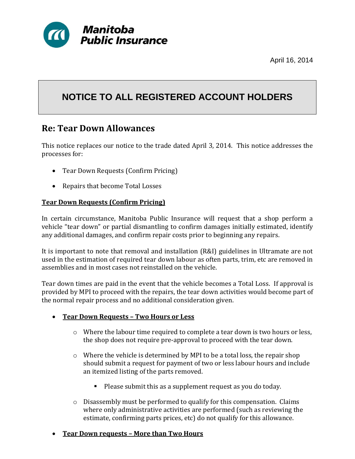

April 16, 2014

# **NOTICE TO ALL REGISTERED ACCOUNT HOLDERS**

# **Re: Tear Down Allowances**

This notice replaces our notice to the trade dated April 3, 2014. This notice addresses the processes for:

- Tear Down Requests (Confirm Pricing)
- Repairs that become Total Losses

## **Tear Down Requests (Confirm Pricing)**

In certain circumstance, Manitoba Public Insurance will request that a shop perform a vehicle "tear down" or partial dismantling to confirm damages initially estimated, identify any additional damages, and confirm repair costs prior to beginning any repairs.

It is important to note that removal and installation (R&I) guidelines in Ultramate are not used in the estimation of required tear down labour as often parts, trim, etc are removed in assemblies and in most cases not reinstalled on the vehicle.

Tear down times are paid in the event that the vehicle becomes a Total Loss. If approval is provided by MPI to proceed with the repairs, the tear down activities would become part of the normal repair process and no additional consideration given.

#### **Tear Down Requests – Two Hours or Less**

- $\circ$  Where the labour time required to complete a tear down is two hours or less, the shop does not require pre-approval to proceed with the tear down.
- $\circ$  Where the vehicle is determined by MPI to be a total loss, the repair shop should submit a request for payment of two or less labour hours and include an itemized listing of the parts removed.
	- Please submit this as a supplement request as you do today.
- o Disassembly must be performed to qualify for this compensation. Claims where only administrative activities are performed (such as reviewing the estimate, confirming parts prices, etc) do not qualify for this allowance.

#### **Tear Down requests – More than Two Hours**